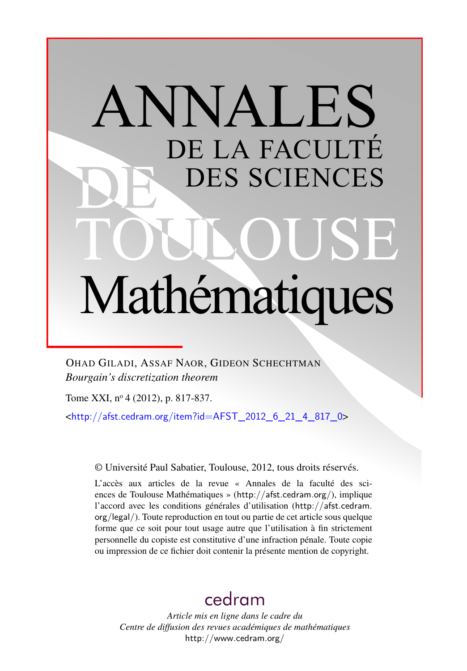# ANNALES DE LA FACULTÉ DES SCIENCES Mathématiques

OHAD GILADI, ASSAF NAOR, GIDEON SCHECHTMAN *Bourgain's discretization theorem*

Tome XXI, nº 4 (2012), p. 817-837.

 $\text{chttp:}/\text{/afst.cedram.org/item?id=AFST}$  2012 6 21 4 817 0>

© Université Paul Sabatier, Toulouse, 2012, tous droits réservés.

L'accès aux articles de la revue « Annales de la faculté des sciences de Toulouse Mathématiques » (<http://afst.cedram.org/>), implique l'accord avec les conditions générales d'utilisation ([http://afst.cedram.](http://afst.cedram.org/legal/) [org/legal/](http://afst.cedram.org/legal/)). Toute reproduction en tout ou partie de cet article sous quelque forme que ce soit pour tout usage autre que l'utilisation à fin strictement personnelle du copiste est constitutive d'une infraction pénale. Toute copie ou impression de ce fichier doit contenir la présente mention de copyright.

# [cedram](http://www.cedram.org/)

*Article mis en ligne dans le cadre du Centre de diffusion des revues académiques de mathématiques* <http://www.cedram.org/>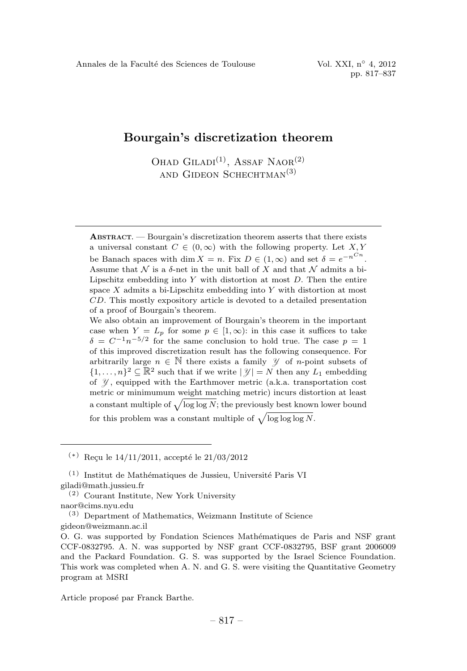## Bourgain's discretization theorem

OHAD  $\text{GLADI}^{(1)}$ , ASSAF NAOR<sup>(2)</sup> and Gideon Schechtman(3)

ABSTRACT. —Bourgain's discretization theorem asserts that there exists a universal constant  $C \in (0,\infty)$  with the following property. Let X, Y be Banach spaces with dim  $X = n$ . Fix  $D \in (1, \infty)$  and set  $\delta = e^{-n^{Cn}}$ . Assume that  $\mathcal N$  is a  $\delta$ -net in the unit ball of X and that  $\mathcal N$  admits a bi-Lipschitz embedding into Y with distortion at most  $D$ . Then the entire space  $X$  admits a bi-Lipschitz embedding into  $Y$  with distortion at most CD. This mostly expository article is devoted to a detailed presentation of a proof of Bourgain's theorem.

We also obtain an improvement of Bourgain's theorem in the important case when  $Y = L_p$  for some  $p \in [1, \infty)$ : in this case it suffices to take  $\delta = C^{-1}n^{-5/2}$  for the same conclusion to hold true. The case  $p = 1$ of this improved discretization result has the following consequence. For arbitrarily large  $n \in \mathbb{N}$  there exists a family  $\mathcal Y$  of *n*-point subsets of  $\{1,\ldots,n\}^2 \subseteq \mathbb{R}^2$  such that if we write  $|\mathcal{Y}| = N$  then any  $L_1$  embedding of  $\mathcal{Y}$ , equipped with the Earthmover metric (a.k.a. transportation cost metric or minimumum weight matching metric) incurs distortion at least a constant multiple of  $\sqrt{\log \log N}$ ; the previously best known lower bound for this problem was a constant multiple of  $\sqrt{\log \log \log N}$ .

 $(*)$  Recu le 14/11/2011, accepté le 21/03/2012

(3) Department of Mathematics, Weizmann Institute of Science gideon@weizmann.ac.il

Article proposé par Franck Barthe.

 $(1)$  Institut de Mathématiques de Jussieu, Université Paris VI giladi@math.jussieu.fr

<sup>(2)</sup> Courant Institute, New York University

naor@cims.nyu.edu

O. G. was supported by Fondation Sciences Mathématiques de Paris and NSF grant CCF-0832795. A. N. was supported by NSF grant CCF-0832795, BSF grant 2006009 and the Packard Foundation. G. S. was supported by the Israel Science Foundation. This work was completed when A. N. and G. S. were visiting the Quantitative Geometry program at MSRI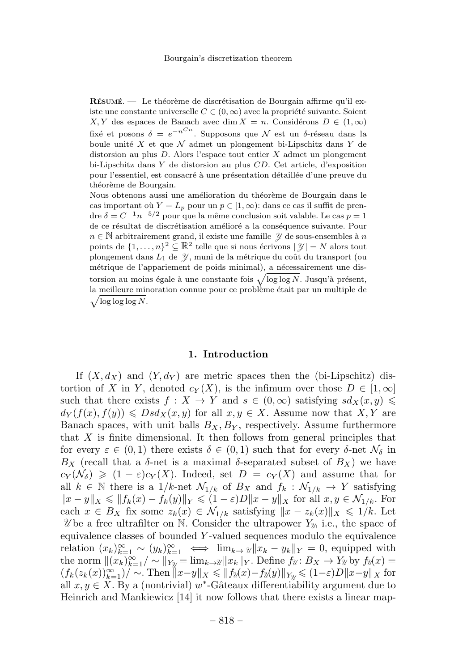RÉSUMÉ. — Le théorème de discrétisation de Bourgain affirme qu'il existe une constante universelle  $C \in (0,\infty)$  avec la propriété suivante. Soient  $X, Y$  des espaces de Banach avec dim  $X = n$ . Considérons  $D \in (1, \infty)$ fixé et posons  $\delta = e^{-n\pi}$ . Supposons que N est un δ-réseau dans la boule unité X et que  $\mathcal N$  admet un plongement bi-Lipschitz dans Y de distorsion au plus D. Alors l'espace tout entier X admet un plongement bi-Lipschitz dans Y de distorsion au plus CD. Cet article, d'exposition pour l'essentiel, est consacré à une présentation détaillée d'une preuve du théorème de Bourgain.

Nous obtenons aussi une amélioration du théorème de Bourgain dans le cas important où  $Y = L_p$  pour un  $p \in [1, \infty)$ : dans ce cas il suffit de prendre  $\delta = C^{-1}n^{-5/2}$  pour que la même conclusion soit valable. Le cas  $p = 1$ de ce résultat de discrétisation amélioré a la conséquence suivante. Pour  $n \in \mathbb{N}$  arbitrairement grand, il existe une famille  $\mathcal{Y}$  de sous-ensembles à n points de  $\{1,\ldots,n\}^2 \subseteq \mathbb{R}^2$  telle que si nous écrivons  $|\mathcal{Y}| = N$  alors tout plongement dans  $L_1$  de  $\mathcal Y$ , muni de la métrique du coût du transport (ou métrique de l'appariement de poids minimal), a nécessairement une distorsion au moins égale à une constante fois  $\sqrt{\log \log N}$ . Jusqu'à présent,  $\sqrt{\log \log \log N}$ . la meilleure minoration connue pour ce problème était par un multiple de

#### 1. Introduction

If  $(X, d_X)$  and  $(Y, d_Y)$  are metric spaces then the (bi-Lipschitz) distortion of X in Y, denoted  $c_Y(X)$ , is the infimum over those  $D \in [1,\infty]$ such that there exists  $f: X \to Y$  and  $s \in (0,\infty)$  satisfying  $sd_X(x, y) \leq$  $d_Y(f(x), f(y)) \leq Dsd_X(x, y)$  for all  $x, y \in X$ . Assume now that X, Y are Banach spaces, with unit balls  $B_X, B_Y$ , respectively. Assume furthermore that  $X$  is finite dimensional. It then follows from general principles that for every  $\varepsilon \in (0,1)$  there exists  $\delta \in (0,1)$  such that for every  $\delta$ -net  $\mathcal{N}_{\delta}$  in  $B_X$  (recall that a  $\delta$ -net is a maximal  $\delta$ -separated subset of  $B_X$ ) we have  $c_Y(\mathcal{N}_\delta) \geq (1-\varepsilon)c_Y(X)$ . Indeed, set  $D = c_Y(X)$  and assume that for all  $k \in \mathbb{N}$  there is a  $1/k$ -net  $\mathcal{N}_{1/k}$  of  $B_X$  and  $f_k : \mathcal{N}_{1/k} \to Y$  satisfying  $||x - y||_X \le ||f_k(x) - f_k(y)||_Y \le (1 - \varepsilon)D||x - y||_X$  for all  $x, y \in \mathcal{N}_{1/k}$ . For each  $x \in B_X$  fix some  $z_k(x) \in \mathcal{N}_{1/k}$  satisfying  $||x - z_k(x)||_X \leq 1/k$ . Let  $\mathcal{U}$  be a free ultrafilter on N. Consider the ultrapower  $Y_{\mathcal{U}}$ , i.e., the space of equivalence classes of bounded Y -valued sequences modulo the equivalence relation  $(x_k)_{k=1}^{\infty} \sim (y_k)_{k=1}^{\infty} \iff \lim_{k \to \infty} ||x_k - y_k||_Y = 0$ , equipped with the norm  $\|(x_k)_{k=1}^{\infty}/\sim \|_{Y_{\mathcal{U}}} = \lim_{k\to\mathcal{U}} \|x_k\|_Y$ . Define  $f_{\mathcal{U}}: B_X \to Y_{\mathcal{U}}$  by  $f_{\mathcal{U}}(x) =$  $(f_k(z_k(x))_{k=1}^{\infty})/\sim$ . Then  $||x-y||_X \le ||f_2(x) - f_2(y)||_{Y_{\mathcal{U}}} \le (1-\varepsilon)D||x-y||_X$  for all  $x, y \in X$ . By a (nontrivial) w<sup>\*</sup>-Gâteaux differentiability argument due to Heinrich and Mankiewicz [14] it now follows that there exists a linear map-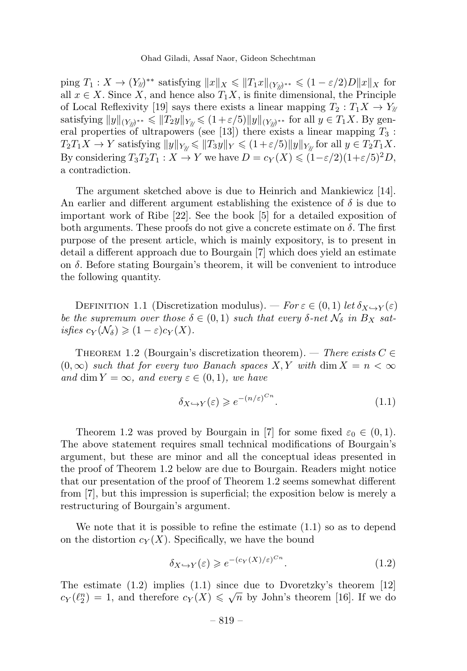$\lim_{n \to \infty} T_1: X \to (Y_2)^{**}$  satisfying  $||x||_X \le ||T_1x||_{(Y_2)^{**}} \le (1 - \varepsilon/2)D||x||_X$  for all  $x \in X$ . Since X, and hence also  $T_1X$ , is finite dimensional, the Principle of Local Reflexivity [19] says there exists a linear mapping  $T_2 : T_1X \to Y_{\mathbb{Z}}$ satisfying  $||y||_{(Y_{\mathcal{U}})^{**}} \le ||T_2y||_{Y_{\mathcal{U}}} \le (1+\varepsilon/5)||y||_{(Y_{\mathcal{U}})^{**}}$  for all  $y \in T_1X$ . By general properties of ultrapowers (see [13]) there exists a linear mapping  $T_3$ :  $T_2T_1X \to Y$  satisfying  $||y||_{Y_{\mathcal{U}}} \le ||T_3y||_Y \le (1+\varepsilon/5)||y||_{Y_{\mathcal{U}}}$  for all  $y \in T_2T_1X$ . By considering  $T_3T_2T_1 : X \to Y$  we have  $D = c_Y(X) \leq (1 - \varepsilon/2)(1 + \varepsilon/5)^2 D$ , a contradiction.

The argument sketched above is due to Heinrich and Mankiewicz [14]. An earlier and different argument establishing the existence of  $\delta$  is due to important work of Ribe [22]. See the book [5] for a detailed exposition of both arguments. These proofs do not give a concrete estimate on  $\delta$ . The first purpose of the present article, which is mainly expository, is to present in detail a different approach due to Bourgain [7] which does yield an estimate on  $\delta$ . Before stating Bourgain's theorem, it will be convenient to introduce the following quantity.

DEFINITION 1.1 (Discretization modulus). — For  $\varepsilon \in (0,1)$  let  $\delta_{X\rightarrow Y}(\varepsilon)$ be the supremum over those  $\delta \in (0,1)$  such that every  $\delta$ -net  $\mathcal{N}_{\delta}$  in  $B_X$  satisfies  $c_Y(\mathcal{N}_\delta) \geq (1-\varepsilon)c_Y(X)$ .

THEOREM 1.2 (Bourgain's discretization theorem). — There exists  $C \in$  $(0,\infty)$  such that for every two Banach spaces X, Y with dim  $X = n < \infty$ and dim  $Y = \infty$ , and every  $\varepsilon \in (0, 1)$ , we have

$$
\delta_{X \hookrightarrow Y}(\varepsilon) \geqslant e^{-(n/\varepsilon)^{Cn}}.\tag{1.1}
$$

Theorem 1.2 was proved by Bourgain in [7] for some fixed  $\varepsilon_0 \in (0,1)$ . The above statement requires small technical modifications of Bourgain's argument, but these are minor and all the conceptual ideas presented in the proof of Theorem 1.2 below are due to Bourgain. Readers might notice that our presentation of the proof of Theorem 1.2 seems somewhat different from [7], but this impression is superficial; the exposition below is merely a restructuring of Bourgain's argument.

We note that it is possible to refine the estimate (1.1) so as to depend on the distortion  $c_Y(X)$ . Specifically, we have the bound

$$
\delta_{X \hookrightarrow Y}(\varepsilon) \geqslant e^{-(c_Y(X)/\varepsilon)^{C_n}}.\tag{1.2}
$$

The estimate (1.2) implies (1.1) since due to Dvoretzky's theorem [12]  $c_Y(\ell_2^n) = 1$ , and therefore  $c_Y(X) \leq \sqrt{n}$  by John's theorem [16]. If we do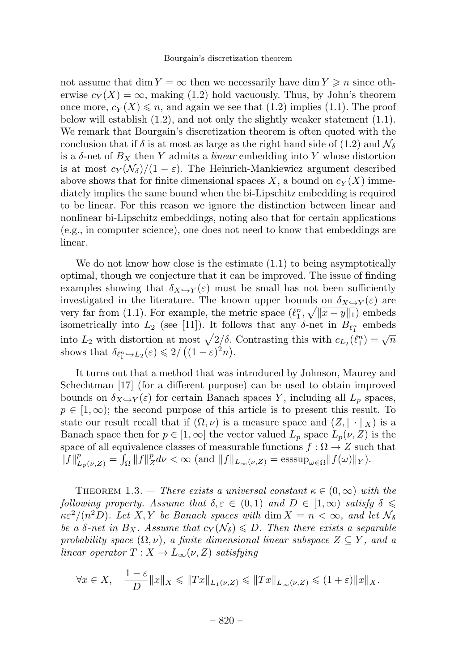not assume that dim  $Y = \infty$  then we necessarily have dim  $Y \geq n$  since otherwise  $c_Y(X) = \infty$ , making (1.2) hold vacuously. Thus, by John's theorem once more,  $c_Y(X) \leq n$ , and again we see that (1.2) implies (1.1). The proof below will establish  $(1.2)$ , and not only the slightly weaker statement  $(1.1)$ . We remark that Bourgain's discretization theorem is often quoted with the conclusion that if  $\delta$  is at most as large as the right hand side of (1.2) and  $\mathcal{N}_{\delta}$ is a  $\delta$ -net of  $B_X$  then Y admits a *linear* embedding into Y whose distortion is at most  $c_Y(\mathcal{N}_\delta)/(1-\varepsilon)$ . The Heinrich-Mankiewicz argument described above shows that for finite dimensional spaces X, a bound on  $c_Y(X)$  immediately implies the same bound when the bi-Lipschitz embedding is required to be linear. For this reason we ignore the distinction between linear and nonlinear bi-Lipschitz embeddings, noting also that for certain applications (e.g., in computer science), one does not need to know that embeddings are linear.

We do not know how close is the estimate  $(1.1)$  to being asymptotically optimal, though we conjecture that it can be improved. The issue of finding examples showing that  $\delta_{X\to Y}(\varepsilon)$  must be small has not been sufficiently investigated in the literature. The known upper bounds on  $\delta_{X\hookrightarrow Y}(\varepsilon)$  are very far from (1.1). For example, the metric space  $(\ell_1^n, \sqrt{||x-y||_1})$  embeds isometrically into  $L_2$  (see [11]). It follows that any  $\delta$ -net in  $B_{\ell_1^n}$  embeds into  $L_2$  with distortion at most  $\sqrt{2/\delta}$ . Contrasting this with  $c_{L_2}(\ell_1^n) = \sqrt{n}$ shows that  $\delta_{\ell_1^n \hookrightarrow L_2}(\varepsilon) \leq 2/\left( (1-\varepsilon)^2 n \right)$ .

It turns out that a method that was introduced by Johnson, Maurey and Schechtman [17] (for a different purpose) can be used to obtain improved bounds on  $\delta_{X\hookrightarrow Y}(\varepsilon)$  for certain Banach spaces Y, including all  $L_p$  spaces,  $p \in [1,\infty)$ ; the second purpose of this article is to present this result. To state our result recall that if  $(\Omega, \nu)$  is a measure space and  $(Z, \|\cdot\|_X)$  is a Banach space then for  $p \in [1,\infty]$  the vector valued  $L_p$  space  $L_p(\nu, Z)$  is the space of all equivalence classes of measurable functions  $f:\Omega\to Z$  such that  $||f||_{L_p(\nu,Z)}^p = \int_{\Omega} ||f||_Z^p d\nu < \infty$  (and  $||f||_{L_\infty(\nu,Z)} = \text{esssup}_{\omega \in \Omega} ||f(\omega)||_Y)$ .

THEOREM 1.3. — There exists a universal constant  $\kappa \in (0,\infty)$  with the following property. Assume that  $\delta, \varepsilon \in (0,1)$  and  $D \in [1,\infty)$  satisfy  $\delta \leq$  $\kappa \varepsilon^2/(n^2D)$ . Let X, Y be Banach spaces with  $\dim X = n < \infty$ , and let  $\mathcal{N}_{\delta}$ be a  $\delta$ -net in  $B_X$ . Assume that  $c_Y(\mathcal{N}_\delta) \leq D$ . Then there exists a separable probability space  $(\Omega, \nu)$ , a finite dimensional linear subspace  $Z \subseteq Y$ , and a linear operator  $T : X \to L_{\infty}(\nu, Z)$  satisfying

$$
\forall x \in X, \quad \frac{1-\varepsilon}{D} \|x\|_X \leq \|Tx\|_{L_1(\nu, Z)} \leq \|Tx\|_{L_\infty(\nu, Z)} \leq (1+\varepsilon) \|x\|_X.
$$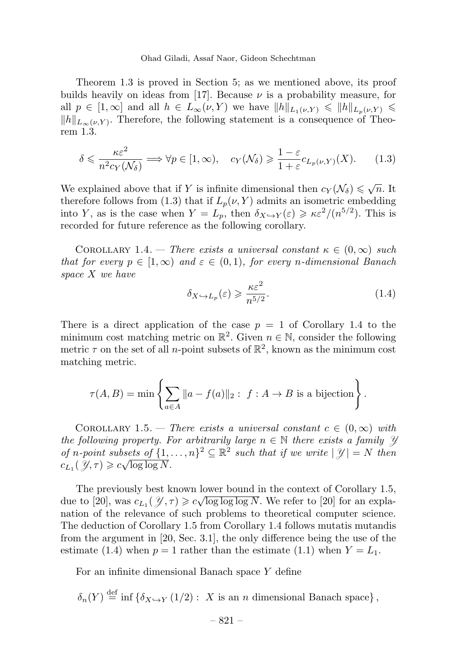Ohad Giladi, Assaf Naor, Gideon Schechtman

Theorem 1.3 is proved in Section 5; as we mentioned above, its proof builds heavily on ideas from [17]. Because  $\nu$  is a probability measure, for all  $p \in [1,\infty]$  and all  $h \in L_{\infty}(\nu,Y)$  we have  $||h||_{L_1(\nu,Y)} \leq ||h||_{L_p(\nu,Y)} \leq$  $||h||_{L_{\infty}(\nu,Y)}$ . Therefore, the following statement is a consequence of Theorem 1.3.

$$
\delta \leqslant \frac{\kappa \varepsilon^2}{n^2 c_Y(\mathcal{N}_\delta)} \Longrightarrow \forall p \in [1, \infty), \quad c_Y(\mathcal{N}_\delta) \geqslant \frac{1 - \varepsilon}{1 + \varepsilon} c_{L_p(\nu, Y)}(X). \tag{1.3}
$$

We explained above that if Y is infinite dimensional then  $c_Y(\mathcal{N}_\delta) \leq \sqrt{n}$ . It therefore follows from (1.3) that if  $L_p(\nu, Y)$  admits an isometric embedding into Y, as is the case when  $Y = L_p$ , then  $\delta_{X \hookrightarrow Y}(\varepsilon) \geq \kappa \varepsilon^2/(n^{5/2})$ . This is recorded for future reference as the following corollary.

COROLLARY 1.4. — There exists a universal constant  $\kappa \in (0,\infty)$  such that for every  $p \in [1,\infty)$  and  $\varepsilon \in (0,1)$ , for every n-dimensional Banach space X we have

$$
\delta_{X \hookrightarrow L_p}(\varepsilon) \geqslant \frac{\kappa \varepsilon^2}{n^{5/2}}.\tag{1.4}
$$

There is a direct application of the case  $p = 1$  of Corollary 1.4 to the minimum cost matching metric on  $\mathbb{R}^2$ . Given  $n \in \mathbb{N}$ , consider the following metric  $\tau$  on the set of all *n*-point subsets of  $\mathbb{R}^2$ , known as the minimum cost matching metric.

$$
\tau(A,B) = \min \left\{ \sum_{a \in A} ||a - f(a)||_2 : f : A \to B \text{ is a bijection} \right\}.
$$

COROLLARY 1.5. — There exists a universal constant  $c \in (0,\infty)$  with the following property. For arbitrarily large  $n \in \mathbb{N}$  there exists a family  $\mathcal{Y}$ of n-point subsets of  $\{1,\ldots,n\}^2 \subseteq \mathbb{R}^2$  such that if we write  $|\mathcal{Y}| = N$  then  $c_{L_1}(\mathcal{Y}, \tau) \geqslant c \sqrt{\log \log N}.$ 

The previously best known lower bound in the context of Corollary 1.5, due to [20], was  $c_{L_1}(\mathcal{Y}, \tau) \geqslant c\sqrt{\log \log \log N}$ . We refer to [20] for an explanation of the relevance of such problems to theoretical computer science. The deduction of Corollary 1.5 from Corollary 1.4 follows mutatis mutandis from the argument in [20, Sec. 3.1], the only difference being the use of the estimate (1.4) when  $p = 1$  rather than the estimate (1.1) when  $Y = L_1$ .

For an infinite dimensional Banach space Y define

$$
\delta_n(Y) \stackrel{\text{def}}{=} \inf \left\{ \delta_{X \hookrightarrow Y} \left( \frac{1}{2} \right) : X \text{ is an } n \text{ dimensional Banach space} \right\},\
$$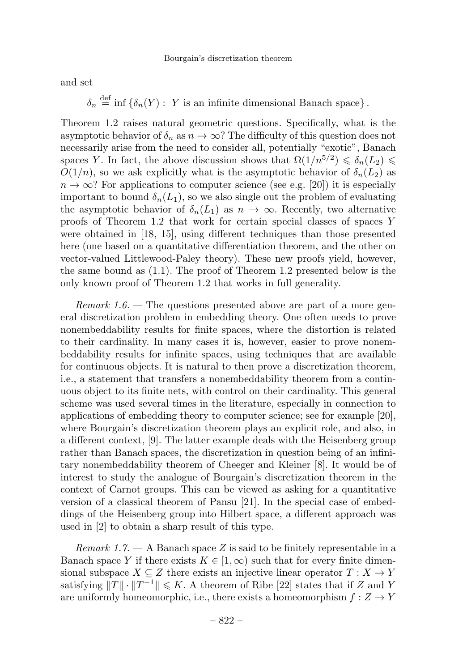and set

 $\delta_n \stackrel{\text{def}}{=} \inf \{\delta_n(Y) : Y \text{ is an infinite dimensional Banach space}\}.$ 

Theorem 1.2 raises natural geometric questions. Specifically, what is the asymptotic behavior of  $\delta_n$  as  $n \to \infty$ ? The difficulty of this question does not necessarily arise from the need to consider all, potentially "exotic", Banach spaces Y. In fact, the above discussion shows that  $\Omega(1/n^{5/2}) \leq \delta_n(L_2)$  $O(1/n)$ , so we ask explicitly what is the asymptotic behavior of  $\delta_n(L_2)$  as  $n \to \infty$ ? For applications to computer science (see e.g. [20]) it is especially important to bound  $\delta_n(L_1)$ , so we also single out the problem of evaluating the asymptotic behavior of  $\delta_n(L_1)$  as  $n \to \infty$ . Recently, two alternative proofs of Theorem 1.2 that work for certain special classes of spaces Y were obtained in [18, 15], using different techniques than those presented here (one based on a quantitative differentiation theorem, and the other on vector-valued Littlewood-Paley theory). These new proofs yield, however, the same bound as (1.1). The proof of Theorem 1.2 presented below is the only known proof of Theorem 1.2 that works in full generality.

Remark 1.6. — The questions presented above are part of a more general discretization problem in embedding theory. One often needs to prove nonembeddability results for finite spaces, where the distortion is related to their cardinality. In many cases it is, however, easier to prove nonembeddability results for infinite spaces, using techniques that are available for continuous objects. It is natural to then prove a discretization theorem, i.e., a statement that transfers a nonembeddability theorem from a continuous object to its finite nets, with control on their cardinality. This general scheme was used several times in the literature, especially in connection to applications of embedding theory to computer science; see for example [20], where Bourgain's discretization theorem plays an explicit role, and also, in a different context, [9]. The latter example deals with the Heisenberg group rather than Banach spaces, the discretization in question being of an infinitary nonembeddability theorem of Cheeger and Kleiner [8]. It would be of interest to study the analogue of Bourgain's discretization theorem in the context of Carnot groups. This can be viewed as asking for a quantitative version of a classical theorem of Pansu [21]. In the special case of embeddings of the Heisenberg group into Hilbert space, a different approach was used in  $[2]$  to obtain a sharp result of this type.

*Remark 1.7.*  $\rightarrow$  A Banach space Z is said to be finitely representable in a Banach space Y if there exists  $K \in [1,\infty)$  such that for every finite dimensional subspace  $X \subseteq Z$  there exists an injective linear operator  $T : X \to Y$ satisfying  $||T|| \cdot ||T^{-1}|| \leq K$ . A theorem of Ribe [22] states that if Z and Y are uniformly homeomorphic, i.e., there exists a homeomorphism  $f: Z \to Y$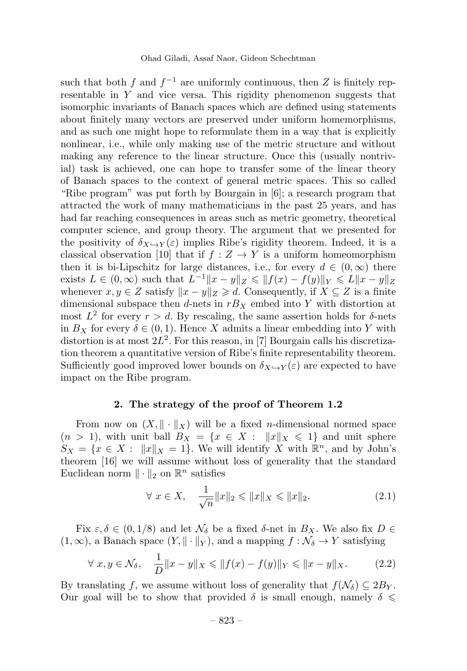such that both f and  $f^{-1}$  are uniformly continuous, then Z is finitely representable in  $Y$  and vice versa. This rigidity phenomenon suggests that isomorphic invariants of Banach spaces which are defined using statements about finitely many vectors are preserved under uniform homemorphisms, and as such one might hope to reformulate them in a way that is explicitly nonlinear, i.e., while only making use of the metric structure and without making any reference to the linear structure. Once this (usually nontrivial) task is achieved, one can hope to transfer some of the linear theory of Banach spaces to the context of general metric spaces. This so called "Ribe program" was put forth by Bourgain in [6]; a research program that attracted the work of many mathematicians in the past 25 years, and has had far reaching consequences in areas such as metric geometry, theoretical computer science, and group theory. The argument that we presented for the positivity of  $\delta_{X\hookrightarrow Y}(\varepsilon)$  implies Ribe's rigidity theorem. Indeed, it is a classical observation [10] that if  $f : Z \to Y$  is a uniform homeomorphism then it is bi-Lipschitz for large distances, i.e., for every  $d \in (0,\infty)$  there exists  $L \in (0, \infty)$  such that  $L^{-1}||x - y||_Z \le ||f(x) - f(y)||_Y \le L||x - y||_Z$ whenever  $x, y \in Z$  satisfy  $||x - y||_Z \ge d$ . Consequently, if  $X \subseteq Z$  is a finite dimensional subspace then d-nets in  $rB_X$  embed into Y with distortion at most  $L^2$  for every  $r>d$ . By rescaling, the same assertion holds for  $\delta$ -nets in  $B_X$  for every  $\delta \in (0,1)$ . Hence X admits a linear embedding into Y with distortion is at most  $2L^2$ . For this reason, in [7] Bourgain calls his discretization theorem a quantitative version of Ribe's finite representability theorem. Sufficiently good improved lower bounds on  $\delta_{X\rightarrow Y}(\varepsilon)$  are expected to have impact on the Ribe program.

#### 2. The strategy of the proof of Theorem 1.2

From now on  $(X, \|\cdot\|_X)$  will be a fixed *n*-dimensional normed space  $(n > 1)$ , with unit ball  $B_X = \{x \in X : ||x||_X \leq 1\}$  and unit sphere  $S_X = \{x \in X : ||x||_X = 1\}$ . We will identify X with  $\mathbb{R}^n$ , and by John's theorem [16] we will assume without loss of generality that the standard Euclidean norm  $\|\cdot\|_2$  on  $\mathbb{R}^n$  satisfies

$$
\forall x \in X, \quad \frac{1}{\sqrt{n}} \|x\|_2 \le \|x\|_X \le \|x\|_2. \tag{2.1}
$$

Fix  $\varepsilon, \delta \in (0, 1/8)$  and let  $\mathcal{N}_{\delta}$  be a fixed  $\delta$ -net in  $B_X$ . We also fix  $D \in$  $(1, \infty)$ , a Banach space  $(Y, \|\cdot\|_Y)$ , and a mapping  $f : \mathcal{N}_\delta \to Y$  satisfying

$$
\forall x, y \in \mathcal{N}_{\delta}, \quad \frac{1}{D} \|x - y\|_{X} \le \|f(x) - f(y)\|_{Y} \le \|x - y\|_{X}.
$$
 (2.2)

By translating f, we assume without loss of generality that  $f(\mathcal{N}_{\delta}) \subseteq 2B_Y$ . Our goal will be to show that provided  $\delta$  is small enough, namely  $\delta \leq$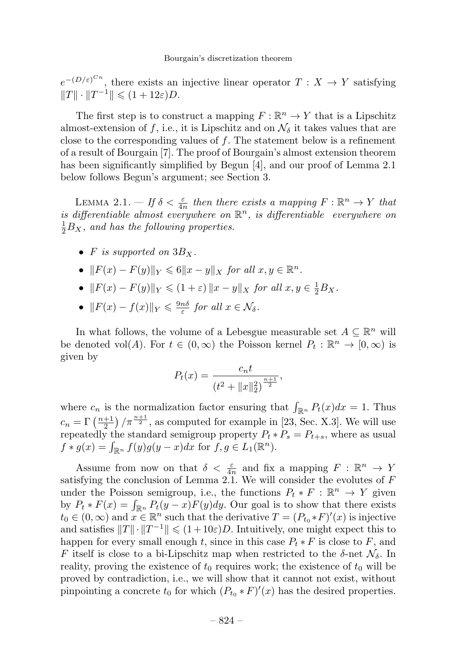$e^{-(D/\varepsilon)^{C_n}}$ , there exists an injective linear operator  $T : X \to Y$  satisfying  $||T|| \cdot ||T^{-1}|| \leq (1 + 12\varepsilon)D.$ 

The first step is to construct a mapping  $F : \mathbb{R}^n \to Y$  that is a Lipschitz almost-extension of f, i.e., it is Lipschitz and on  $\mathcal{N}_{\delta}$  it takes values that are close to the corresponding values of f. The statement below is a refinement of a result of Bourgain [7]. The proof of Bourgain's almost extension theorem has been significantly simplified by Begun [4], and our proof of Lemma 2.1 below follows Begun's argument; see Section 3.

LEMMA 2.1.  $-If \delta < \frac{\varepsilon}{4n}$  then there exists a mapping  $F : \mathbb{R}^n \to Y$  that is differentiable almost everywhere on  $\mathbb{R}^n$ , is differentiable everywhere on  $\frac{1}{2}B_X$ , and has the following properties.

- F is supported on  $3B_x$ .
- $||F(x) F(y)||_Y \leq 6||x y||_X$  for all  $x, y \in \mathbb{R}^n$ .
- $||F(x) F(y)||_Y \le (1 + \varepsilon) ||x y||_X$  for all  $x, y \in \frac{1}{2}B_X$ .
- $||F(x) f(x)||_Y \le \frac{9n\delta}{\varepsilon}$  for all  $x \in \mathcal{N}_\delta$ .

In what follows, the volume of a Lebesgue measurable set  $A \subseteq \mathbb{R}^n$  will be denoted vol(A). For  $t \in (0,\infty)$  the Poisson kernel  $P_t : \mathbb{R}^n \to [0,\infty)$  is given by

$$
P_t(x) = \frac{c_n t}{(t^2 + ||x||_2^2)^{\frac{n+1}{2}}},
$$

where  $c_n$  is the normalization factor ensuring that  $\int_{\mathbb{R}^n} P_t(x) dx = 1$ . Thus  $c_n = \Gamma\left(\frac{n+1}{2}\right)/\pi^{\frac{n+1}{2}},$  as computed for example in [23, Sec. X.3]. We will use repeatedly the standard semigroup property  $P_t * P_s = P_{t+s}$ , where as usual  $f * g(x) = \int_{\mathbb{R}^n} f(y)g(y-x)dx$  for  $f, g \in L_1(\mathbb{R}^n)$ .

Assume from now on that  $\delta < \frac{\varepsilon}{4n}$  and fix a mapping  $F : \mathbb{R}^n \to Y$ satisfying the conclusion of Lemma 2.1. We will consider the evolutes of  $F$ under the Poisson semigroup, i.e., the functions  $P_t * F : \mathbb{R}^n \to Y$  given by  $P_t * F(x) = \int_{\mathbb{R}^n} P_t(y-x) F(y) dy$ . Our goal is to show that there exists  $t_0 \in (0,\infty)$  and  $x \in \mathbb{R}^n$  such that the derivative  $T = (P_{t_0} * F)'(x)$  is injective and satisfies  $||T|| \cdot ||T^{-1}|| \leq (1+10\varepsilon)D$ . Intuitively, one might expect this to happen for every small enough t, since in this case  $P_t * F$  is close to F, and F itself is close to a bi-Lipschitz map when restricted to the  $\delta$ -net  $\mathcal{N}_{\delta}$ . In reality, proving the existence of  $t_0$  requires work; the existence of  $t_0$  will be proved by contradiction, i.e., we will show that it cannot not exist, without pinpointing a concrete  $t_0$  for which  $(P_{t_0} * F)'(x)$  has the desired properties.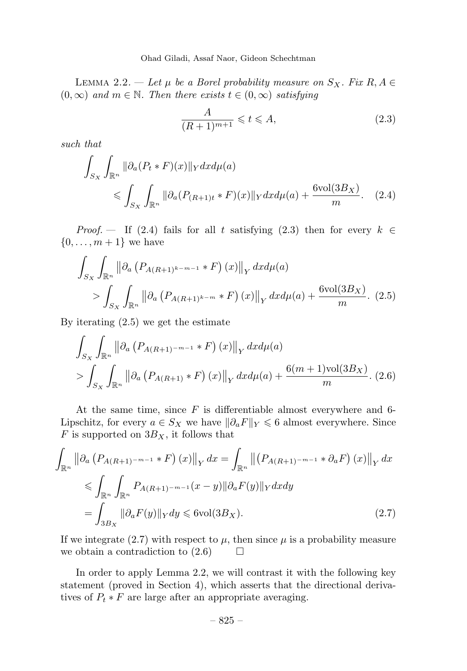LEMMA 2.2. — Let  $\mu$  be a Borel probability measure on  $S_X$ . Fix  $R, A \in$  $(0, \infty)$  and  $m \in \mathbb{N}$ . Then there exists  $t \in (0, \infty)$  satisfying

$$
\frac{A}{(R+1)^{m+1}} \leqslant t \leqslant A,\tag{2.3}
$$

such that

$$
\int_{S_X} \int_{\mathbb{R}^n} \|\partial_a (P_t * F)(x)\|_Y dx d\mu(a)
$$
\n
$$
\leqslant \int_{S_X} \int_{\mathbb{R}^n} \|\partial_a (P_{(R+1)t} * F)(x)\|_Y dx d\mu(a) + \frac{6 \text{vol}(3B_X)}{m}.\tag{2.4}
$$

*Proof.* — If (2.4) fails for all t satisfying (2.3) then for every  $k \in$  $\{0,\ldots,m+1\}$  we have

$$
\int_{S_X} \int_{\mathbb{R}^n} \left\| \partial_a \left( P_{A(R+1)^{k-m-1}} * F \right)(x) \right\|_Y dx d\mu(a)
$$
\n
$$
\geq \int_{S_X} \int_{\mathbb{R}^n} \left\| \partial_a \left( P_{A(R+1)^{k-m}} * F \right)(x) \right\|_Y dx d\mu(a) + \frac{6 \text{vol}(3B_X)}{m}. \tag{2.5}
$$

By iterating (2.5) we get the estimate

$$
\int_{S_X} \int_{\mathbb{R}^n} \left\| \partial_a \left( P_{A(R+1)^{-m-1}} * F \right)(x) \right\|_Y dxd\mu(a) \n> \int_{S_X} \int_{\mathbb{R}^n} \left\| \partial_a \left( P_{A(R+1)} * F \right)(x) \right\|_Y dxd\mu(a) + \frac{6(m+1)\text{vol}(3B_X)}{m}.\ (2.6)
$$

At the same time, since  $F$  is differentiable almost everywhere and 6-Lipschitz, for every  $a \in S_X$  we have  $\|\partial_a F\|_Y \leq 6$  almost everywhere. Since  $F$  is supported on  $3B_X$ , it follows that

$$
\int_{\mathbb{R}^n} \left\| \partial_a \left( P_{A(R+1)^{-m-1}} * F \right)(x) \right\|_Y dx = \int_{\mathbb{R}^n} \left\| \left( P_{A(R+1)^{-m-1}} * \partial_a F \right)(x) \right\|_Y dx
$$
  
\n
$$
\leq \int_{\mathbb{R}^n} \int_{\mathbb{R}^n} P_{A(R+1)^{-m-1}}(x-y) \|\partial_a F(y)\|_Y dx dy
$$
  
\n
$$
= \int_{3B_X} \|\partial_a F(y)\|_Y dy \leq 6 \text{vol}(3B_X). \tag{2.7}
$$

If we integrate (2.7) with respect to  $\mu$ , then since  $\mu$  is a probability measure we obtain a contradiction to  $(2.6)$   $\Box$ 

In order to apply Lemma 2.2, we will contrast it with the following key statement (proved in Section 4), which asserts that the directional derivatives of  $P_t * F$  are large after an appropriate averaging.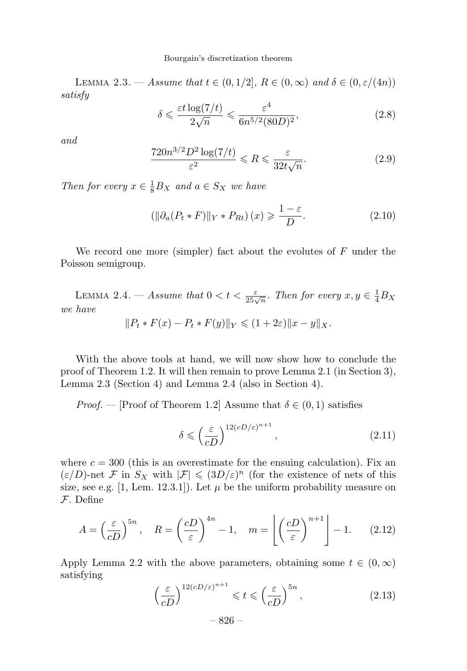#### Bourgain's discretization theorem

LEMMA 2.3. — Assume that  $t \in (0, 1/2]$ ,  $R \in (0, \infty)$  and  $\delta \in (0, \varepsilon/(4n))$ satisfy

$$
\delta \leq \frac{\varepsilon t \log(7/t)}{2\sqrt{n}} \leq \frac{\varepsilon^4}{6n^{5/2}(80D)^2},\tag{2.8}
$$

and

$$
\frac{720n^{3/2}D^2\log(7/t)}{\varepsilon^2} \leqslant R \leqslant \frac{\varepsilon}{32t\sqrt{n}}.\tag{2.9}
$$

Then for every  $x \in \frac{1}{8}B_X$  and  $a \in S_X$  we have

$$
\left(\left\|\partial_a(P_t * F)\right\|_{Y} * P_{Rt}\right)(x) \geqslant \frac{1-\varepsilon}{D}.\tag{2.10}
$$

We record one more (simpler) fact about the evolutes of  $F$  under the Poisson semigroup.

LEMMA 2.4. — Assume that  $0 < t < \frac{\varepsilon}{25\sqrt{n}}$ . Then for every  $x, y \in \frac{1}{4}B_X$ we have  $||P_t * F(x) - P_t * F(y)||_Y \leq (1 + 2\varepsilon) ||x - y||_X.$ 

With the above tools at hand, we will now show how to conclude the proof of Theorem 1.2. It will then remain to prove Lemma 2.1 (in Section 3), Lemma 2.3 (Section 4) and Lemma 2.4 (also in Section 4).

*Proof.* — [Proof of Theorem 1.2] Assume that  $\delta \in (0,1)$  satisfies

$$
\delta \leqslant \left(\frac{\varepsilon}{cD}\right)^{12(cD/\varepsilon)^{n+1}},\tag{2.11}
$$

where  $c = 300$  (this is an overestimate for the ensuing calculation). Fix an  $(\varepsilon/D)$ -net F in  $S_X$  with  $|\mathcal{F}| \leq (3D/\varepsilon)^n$  (for the existence of nets of this size, see e.g. [1, Lem. 12.3.1]). Let  $\mu$  be the uniform probability measure on F. Define

$$
A = \left(\frac{\varepsilon}{cD}\right)^{5n}, \quad R = \left(\frac{cD}{\varepsilon}\right)^{4n} - 1, \quad m = \left\lfloor \left(\frac{cD}{\varepsilon}\right)^{n+1} \right\rfloor - 1. \tag{2.12}
$$

Apply Lemma 2.2 with the above parameters, obtaining some  $t \in (0,\infty)$ satisfying

$$
\left(\frac{\varepsilon}{cD}\right)^{12(cD/\varepsilon)^{n+1}} \leqslant t \leqslant \left(\frac{\varepsilon}{cD}\right)^{5n},\tag{2.13}
$$

– 826 –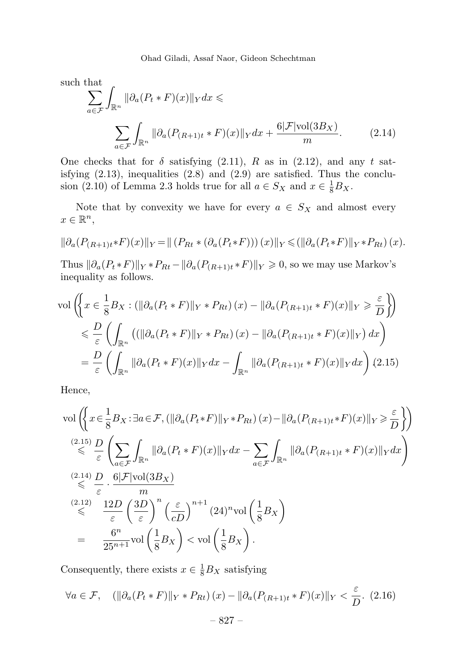Ohad Giladi, Assaf Naor, Gideon Schechtman

such that

$$
\sum_{a \in \mathcal{F}} \int_{\mathbb{R}^n} \|\partial_a (P_t * F)(x)\|_Y dx \le
$$
\n
$$
\sum_{a \in \mathcal{F}} \int_{\mathbb{R}^n} \|\partial_a (P_{(R+1)t} * F)(x)\|_Y dx + \frac{6|\mathcal{F}| \text{vol}(3B_X)}{m}.
$$
\n(2.14)

One checks that for  $\delta$  satisfying (2.11), R as in (2.12), and any t satisfying (2.13), inequalities (2.8) and (2.9) are satisfied. Thus the conclusion (2.10) of Lemma 2.3 holds true for all  $a \in S_X$  and  $x \in \frac{1}{8}B_X$ .

Note that by convexity we have for every  $a \in S_X$  and almost every  $x \in \mathbb{R}^n$ ,

$$
\|\partial_a(P_{(R+1)t}*F)(x)\|_Y = \|\left(P_{Rt}*(\partial_a(P_t*F))\right)(x)\|_Y \leq (\|\partial_a(P_t*F)\|_Y*P_{Rt})(x).
$$

Thus  $\|\partial_a(P_t * F)\|_Y * P_{Rt} - \|\partial_a(P_{(R+1)t} * F)\|_Y \geq 0$ , so we may use Markov's inequality as follows.

$$
\text{vol}\left(\left\{x \in \frac{1}{8}B_X: \left(\|\partial_a(P_t * F)\|_Y * P_{Rt}\right)(x) - \|\partial_a(P_{(R+1)t} * F)(x)\|_Y \geq \frac{\varepsilon}{D}\right\}\right)
$$
  

$$
\leq \frac{D}{\varepsilon}\left(\int_{\mathbb{R}^n} \left(\left(\|\partial_a(P_t * F)\|_Y * P_{Rt}\right)(x) - \|\partial_a(P_{(R+1)t} * F)(x)\|_Y\right)dx\right)
$$
  

$$
= \frac{D}{\varepsilon}\left(\int_{\mathbb{R}^n} \|\partial_a(P_t * F)(x)\|_Y dx - \int_{\mathbb{R}^n} \|\partial_a(P_{(R+1)t} * F)(x)\|_Y dx\right) (2.15)
$$

Hence,

$$
\text{vol}\left(\left\{x \in \frac{1}{8}B_X : \exists a \in \mathcal{F}, \left(\|\partial_a(P_t * F)\|_{Y} * P_{Rt}\right)(x) - \|\partial_a(P_{(R+1)t} * F)(x)\|_{Y}\right\} \geq \frac{\varepsilon}{D}\right\}\right)
$$
\n
$$
\stackrel{(2.15)}{\leq} \frac{D}{\varepsilon} \left(\sum_{a \in \mathcal{F}} \int_{\mathbb{R}^n} \|\partial_a(P_t * F)(x)\|_{Y} dx - \sum_{a \in \mathcal{F}} \int_{\mathbb{R}^n} \|\partial_a(P_{(R+1)t} * F)(x)\|_{Y} dx\right)
$$
\n
$$
\stackrel{(2.14)}{\leq} \frac{D}{\varepsilon} \cdot \frac{6|\mathcal{F}|\text{vol}(3B_X)}{m}
$$
\n
$$
\stackrel{(2.12)}{\leq} \frac{12D}{\varepsilon} \left(\frac{3D}{\varepsilon}\right)^n \left(\frac{\varepsilon}{cD}\right)^{n+1} (24)^n \text{vol}\left(\frac{1}{8}B_X\right)
$$
\n
$$
= \frac{6^n}{25^{n+1}} \text{vol}\left(\frac{1}{8}B_X\right) < \text{vol}\left(\frac{1}{8}B_X\right).
$$

Consequently, there exists  $x \in \frac{1}{8}B_X$  satisfying

$$
\forall a \in \mathcal{F}, \quad (\|\partial_a(P_t * F)\|_Y * P_{Rt})(x) - \|\partial_a(P_{(R+1)t} * F)(x)\|_Y < \frac{\varepsilon}{D}.\tag{2.16}
$$
\n
$$
-827 -
$$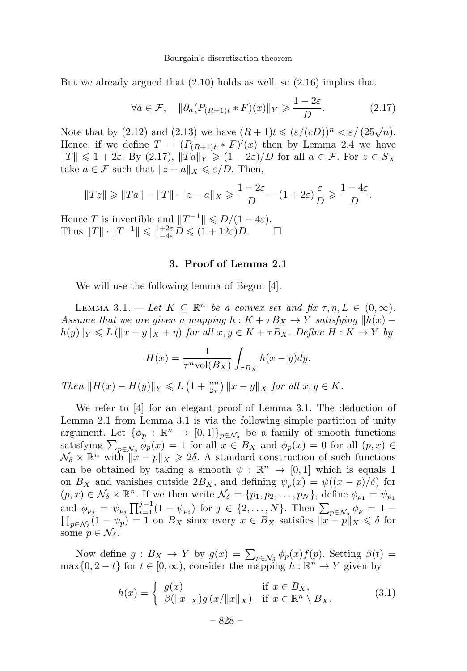But we already argued that (2.10) holds as well, so (2.16) implies that

$$
\forall a \in \mathcal{F}, \quad \|\partial_a (P_{(R+1)t} * F)(x)\|_{Y} \geqslant \frac{1 - 2\varepsilon}{D}.
$$
 (2.17)

Note that by (2.12) and (2.13) we have  $(R+1)t \leqslant (\varepsilon/(cD))^n < \varepsilon/(25\sqrt{n}).$ Hence, if we define  $T = (P_{(R+1)t} * F)'(x)$  then by Lemma 2.4 we have  $||T|| \leq 1+2\varepsilon$ . By (2.17),  $||Ta||_Y \geq (1-2\varepsilon)/D$  for all  $a \in \mathcal{F}$ . For  $z \in S_X$ take  $a \in \mathcal{F}$  such that  $||z - a||_X \leq \varepsilon/D$ . Then,

$$
||Tz|| \ge ||Ta|| - ||T|| \cdot ||z - a||_X \ge \frac{1 - 2\varepsilon}{D} - (1 + 2\varepsilon)\frac{\varepsilon}{D} \ge \frac{1 - 4\varepsilon}{D}.
$$

Hence T is invertible and  $||T^{-1}|| \le D/(1-4\varepsilon)$ .<br>Thus  $||T|| \cdot ||T^{-1}|| \le \frac{1+2\varepsilon}{L} D \le (1+12\varepsilon)D$ . Thus  $||T|| \cdot ||T^{-1}|| \le \frac{1+2\varepsilon}{1-4\varepsilon} D \le (1+12\varepsilon)D.$   $\Box$ 

#### 3. Proof of Lemma 2.1

We will use the following lemma of Begun [4].

LEMMA 3.1. — Let  $K \subseteq \mathbb{R}^n$  be a convex set and fix  $\tau, \eta, L \in (0, \infty)$ . Assume that we are given a mapping  $h: K + \tau B_X \to Y$  satisfying  $||h(x)$  $h(y)||_Y \leqslant L(||x-y||_X + \eta)$  for all  $x, y \in K + \tau B_X$ . Define  $H : K \to Y$  by

$$
H(x) = \frac{1}{\tau^n \text{vol}(B_X)} \int_{\tau B_X} h(x - y) dy.
$$

Then  $||H(x) - H(y)||_Y \le L\left(1 + \frac{n\eta}{2\tau}\right)||x - y||_X$  for all  $x, y \in K$ .

We refer to  $[4]$  for an elegant proof of Lemma 3.1. The deduction of Lemma 2.1 from Lemma 3.1 is via the following simple partition of unity argument. Let  $\{\phi_p : \mathbb{R}^n \to [0,1]\}_{p \in \mathcal{N}_\delta}$  be a family of smooth functions satisfying  $\sum_{p\in\mathcal{N}_{\delta}} \phi_p(x) = 1$  for all  $x \in B_X$  and  $\phi_p(x) = 0$  for all  $(p, x) \in$  $\mathcal{N}_{\delta} \times \mathbb{R}^n$  with  $||x - p||_X \geq 2\delta$ . A standard construction of such functions can be obtained by taking a smooth  $\psi : \mathbb{R}^n \to [0,1]$  which is equals 1 on  $B_X$  and vanishes outside  $2B_X$ , and defining  $\psi_p(x) = \psi((x - p)/\delta)$  for  $(p, x) \in \mathcal{N}_{\delta} \times \mathbb{R}^n$ . If we then write  $\mathcal{N}_{\delta} = \{p_1, p_2, \ldots, p_N\}$ , define  $\phi_{p_1} = \psi_{p_1}$ and  $\phi_{p_j} = \psi_{p_j} \prod_{i=1}^{j-1} (1 - \psi_{p_i})$  for  $j \in \{2, ..., N\}$ . Then  $\sum_{p \in \mathcal{N}_{\delta}} \phi_p = 1 - \prod_{x \in \mathcal{N}} (1 - \psi_n) = 1$  on  $B_x$  since every  $x \in B_x$  satisfies  $||x - p||_X \le \delta$  for  $p \in \mathcal{N}_{\delta}(1 - \psi_p) = 1$  on  $B_X$  since every  $x \in B_X$  satisfies  $||x - p||_X \le \delta$  for some  $p \in \mathcal{N}_{\delta}$ .

Now define  $g : B_X \to Y$  by  $g(x) = \sum_{p \in \mathcal{N}_{\delta}} \phi_p(x) f(p)$ . Setting  $\beta(t) =$  $\max\{0, 2-t\}$  for  $t \in [0, \infty)$ , consider the mapping  $h : \mathbb{R}^n \to Y$  given by

$$
h(x) = \begin{cases} g(x) & \text{if } x \in B_X, \\ \beta(\|x\|_X)g(x/\|x\|_X) & \text{if } x \in \mathbb{R}^n \setminus B_X. \end{cases}
$$
(3.1)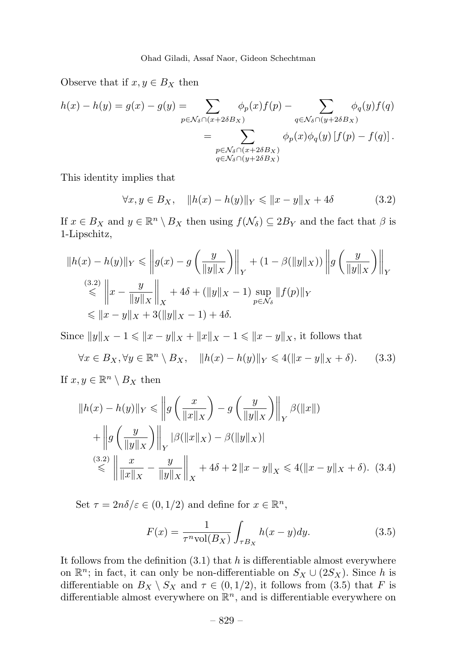Observe that if  $x, y \in B_X$  then

$$
h(x) - h(y) = g(x) - g(y) = \sum_{p \in \mathcal{N}_{\delta} \cap (x + 2\delta B_X)} \phi_p(x) f(p) - \sum_{q \in \mathcal{N}_{\delta} \cap (y + 2\delta B_X)} \phi_q(y) f(q)
$$
  
= 
$$
\sum_{\substack{p \in \mathcal{N}_{\delta} \cap (x + 2\delta B_X) \\ q \in \mathcal{N}_{\delta} \cap (y + 2\delta B_X)}} \phi_p(x) \phi_q(y) [f(p) - f(q)].
$$

This identity implies that

$$
\forall x, y \in B_X, \quad \|h(x) - h(y)\|_Y \le \|x - y\|_X + 4\delta \tag{3.2}
$$

If  $x \in B_X$  and  $y \in \mathbb{R}^n \setminus B_X$  then using  $f(\mathcal{N}_\delta) \subseteq 2B_Y$  and the fact that  $\beta$  is 1-Lipschitz,

$$
||h(x) - h(y)||_Y \le ||g(x) - g\left(\frac{y}{||y||_X}\right)||_Y + (1 - \beta(||y||_X)) ||g\left(\frac{y}{||y||_X}\right)||_Y
$$
  
\n
$$
\le ||x - \frac{y}{||y||_X}||_X + 4\delta + (||y||_X - 1) \sup_{p \in \mathcal{N}_\delta} ||f(p)||_Y
$$
  
\n
$$
\le ||x - y||_X + 3(||y||_X - 1) + 4\delta.
$$

Since  $||y||_X - 1 \le ||x - y||_X + ||x||_X - 1 \le ||x - y||_X$ , it follows that

$$
\forall x \in B_X, \forall y \in \mathbb{R}^n \setminus B_X, \quad \|h(x) - h(y)\|_Y \leq 4(\|x - y\|_X + \delta). \tag{3.3}
$$

If  $x, y \in \mathbb{R}^n \setminus B_X$  then

$$
||h(x) - h(y)||_Y \le ||g\left(\frac{x}{||x||_X}\right) - g\left(\frac{y}{||y||_X}\right)||_Y \beta(||x||)
$$
  
+ 
$$
||g\left(\frac{y}{||y||_X}\right)||_Y |\beta(||x||_X) - \beta(||y||_X)|
$$
  

$$
\le ||\frac{3 \cdot 2}{||x||_X} - \frac{y}{||y||_X}||_X + 4\delta + 2 ||x - y||_X \le 4(||x - y||_X + \delta). \quad (3.4)
$$

Set  $\tau = 2n\delta/\varepsilon \in (0, 1/2)$  and define for  $x \in \mathbb{R}^n$ ,

$$
F(x) = \frac{1}{\tau^n \text{vol}(B_X)} \int_{\tau B_X} h(x - y) dy.
$$
 (3.5)

It follows from the definition  $(3.1)$  that h is differentiable almost everywhere on  $\mathbb{R}^n$ ; in fact, it can only be non-differentiable on  $S_X \cup (2S_X)$ . Since h is differentiable on  $B_X \setminus S_X$  and  $\tau \in (0, 1/2)$ , it follows from (3.5) that F is differentiable almost everywhere on  $\mathbb{R}^n$ , and is differentiable everywhere on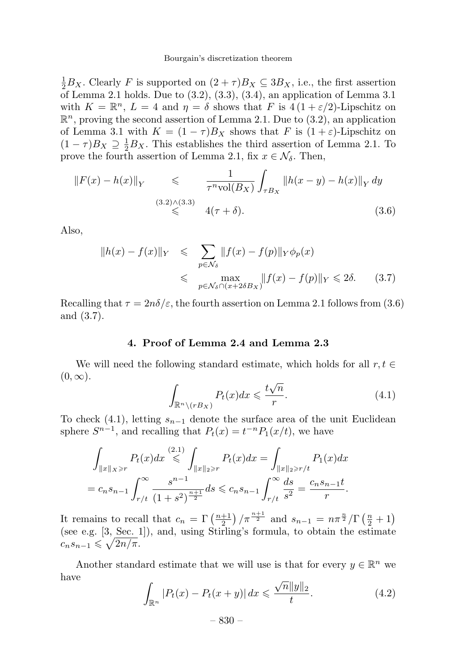#### Bourgain's discretization theorem

 $\frac{1}{2}B_X$ . Clearly F is supported on  $(2+\tau)B_X \subseteq 3B_X$ , i.e., the first assertion of Lemma 2.1 holds. Due to  $(3.2)$ ,  $(3.3)$ ,  $(3.4)$ , an application of Lemma 3.1 with  $K = \mathbb{R}^n$ ,  $L = 4$  and  $\eta = \delta$  shows that F is  $4(1 + \varepsilon/2)$ -Lipschitz on  $\mathbb{R}^n$ , proving the second assertion of Lemma 2.1. Due to (3.2), an application of Lemma 3.1 with  $K = (1 - \tau)B_X$  shows that F is  $(1 + \varepsilon)$ -Lipschitz on  $(1 - \tau)B_X \supseteq \frac{1}{2}B_X$ . This establishes the third assertion of Lemma 2.1. To prove the fourth assertion of Lemma 2.1, fix  $x \in \mathcal{N}_{\delta}$ . Then,

$$
||F(x) - h(x)||_Y \leq \frac{1}{\tau^n \text{vol}(B_X)} \int_{\tau B_X} ||h(x - y) - h(x)||_Y dy
$$
  
(3.2)  $\wedge$ (3.3)  
 $\leq$  4( $\tau + \delta$ ). (3.6)

Also,

$$
||h(x) - f(x)||_Y \le \sum_{p \in \mathcal{N}_\delta} ||f(x) - f(p)||_Y \phi_p(x)
$$
  

$$
\le \max_{p \in \mathcal{N}_\delta \cap (x + 2\delta B_X)} ||f(x) - f(p)||_Y \le 2\delta. \tag{3.7}
$$

Recalling that  $\tau = 2n\delta/\varepsilon$ , the fourth assertion on Lemma 2.1 follows from (3.6) and (3.7).

#### 4. Proof of Lemma 2.4 and Lemma 2.3

We will need the following standard estimate, which holds for all  $r, t \in$  $(0, \infty)$ .

$$
\int_{\mathbb{R}^n \setminus (rB_X)} P_t(x)dx \leqslant \frac{t\sqrt{n}}{r}.\tag{4.1}
$$

To check (4.1), letting  $s_{n-1}$  denote the surface area of the unit Euclidean sphere  $S^{n-1}$ , and recalling that  $P_t(x) = t^{-n} P_1(x/t)$ , we have

$$
\int_{\|x\|_{X}\geq r} P_t(x)dx \stackrel{(2.1)}{\leq} \int_{\|x\|_{2}\geq r} P_t(x)dx = \int_{\|x\|_{2}\geq r/t} P_1(x)dx
$$

$$
= c_n s_{n-1} \int_{r/t}^{\infty} \frac{s^{n-1}}{(1+s^2)^{\frac{n+1}{2}}} ds \leqslant c_n s_{n-1} \int_{r/t}^{\infty} \frac{ds}{s^2} = \frac{c_n s_{n-1}t}{r}.
$$

It remains to recall that  $c_n = \Gamma\left(\frac{n+1}{2}\right)/\pi^{\frac{n+1}{2}}$  and  $s_{n-1} = n\pi^{\frac{n}{2}}/\Gamma\left(\frac{n}{2}+1\right)$ (see e.g. [3, Sec. 1]), and, using Stirling's formula, to obtain the estimate  $c_n s_{n-1} \leqslant \sqrt{2n/\pi}.$ 

Another standard estimate that we will use is that for every  $y \in \mathbb{R}^n$  we have

$$
\int_{\mathbb{R}^n} |P_t(x) - P_t(x+y)| \, dx \leq \frac{\sqrt{n} \|y\|_2}{t}.
$$
\n(4.2)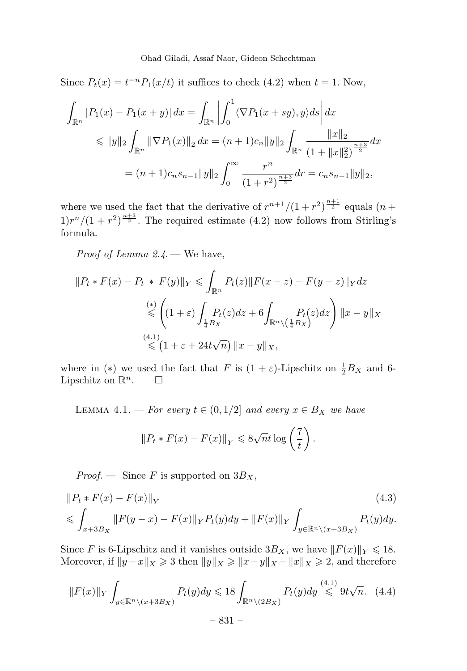Since  $P_t(x) = t^{-n} P_1(x/t)$  it suffices to check (4.2) when  $t = 1$ . Now,

$$
\int_{\mathbb{R}^n} |P_1(x) - P_1(x + y)| dx = \int_{\mathbb{R}^n} \left| \int_0^1 \langle \nabla P_1(x + sy), y \rangle ds \right| dx
$$
  
\n
$$
\leq \|y\|_2 \int_{\mathbb{R}^n} \|\nabla P_1(x)\|_2 dx = (n+1)c_n \|y\|_2 \int_{\mathbb{R}^n} \frac{\|x\|_2}{(1 + \|x\|_2^2)^{\frac{n+3}{2}}} dx
$$
  
\n
$$
= (n+1)c_n s_{n-1} \|y\|_2 \int_0^\infty \frac{r^n}{(1 + r^2)^{\frac{n+3}{2}}} dr = c_n s_{n-1} \|y\|_2,
$$

where we used the fact that the derivative of  $r^{n+1}/(1+r^2)^{\frac{n+1}{2}}$  equals  $(n+1)$  $1)r^{n}/(1+r^{2})^{\frac{n+3}{2}}$ . The required estimate (4.2) now follows from Stirling's formula.

Proof of Lemma 2.4. — We have,

$$
||P_t * F(x) - P_t * F(y)||_Y \leq \int_{\mathbb{R}^n} P_t(z) ||F(x - z) - F(y - z)||_Y dz
$$
  
\n
$$
\leq \left( (1 + \varepsilon) \int_{\frac{1}{4}B_X} P_t(z) dz + 6 \int_{\mathbb{R}^n \setminus (\frac{1}{4}B_X)} P_t(z) dz \right) ||x - y||_X
$$
  
\n
$$
\leq (1 + \varepsilon + 24t\sqrt{n}) ||x - y||_X,
$$

where in (\*) we used the fact that F is  $(1 + \varepsilon)$ -Lipschitz on  $\frac{1}{2}B_X$  and 6-Lipschitz on  $\mathbb{R}^n$ .  $\Box$ 

LEMMA 4.1. — For every  $t \in (0, 1/2]$  and every  $x \in B_X$  we have

$$
||P_t * F(x) - F(x)||_Y \le 8\sqrt{n}t \log\left(\frac{7}{t}\right).
$$

*Proof.* — Since F is supported on  $3B_X$ ,

$$
||P_t * F(x) - F(x)||_Y
$$
\n
$$
\leqslant \int_{x+3B_X} ||F(y-x) - F(x)||_Y P_t(y) dy + ||F(x)||_Y \int_{y \in \mathbb{R}^n \setminus (x+3B_X)} P_t(y) dy.
$$
\n(4.3)

Since F is 6-Lipschitz and it vanishes outside  $3B_X$ , we have  $||F(x)||_Y \leq 18$ . Moreover, if  $||y-x||_X \ge 3$  then  $||y||_X \ge ||x-y||_X - ||x||_X \ge 2$ , and therefore

$$
||F(x)||_Y \int_{y \in \mathbb{R}^n \setminus (x+3B_X)} P_t(y) dy \le 18 \int_{\mathbb{R}^n \setminus (2B_X)} P_t(y) dy \stackrel{(4.1)}{\le} 9t\sqrt{n}.
$$
 (4.4)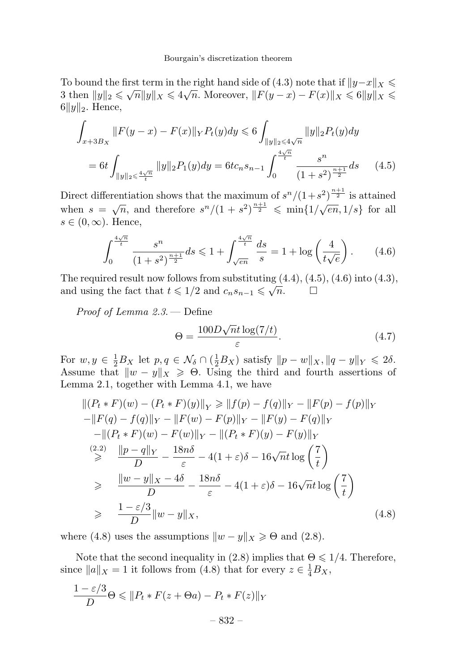To bound the first term in the right hand side of (4.3) note that if  $||y-x||_X \le$ 3 then  $||y||_2 \le \sqrt{n} ||y||_X \le 4\sqrt{n}$ . Moreover,  $||F(y - x) - F(x)||_X \le 6||y||_X \le$  $6||y||_2$ . Hence,

$$
\int_{x+3B_X} ||F(y-x) - F(x)||_Y P_t(y) dy \le 6 \int_{||y||_2 \le 4\sqrt{n}} ||y||_2 P_t(y) dy
$$
  
= 6t 
$$
\int_{||y||_2 \le \frac{4\sqrt{n}}{t}} ||y||_2 P_1(y) dy = 6t c_n s_{n-1} \int_0^{\frac{4\sqrt{n}}{t}} \frac{s^n}{(1+s^2)^{\frac{n+1}{2}}} ds
$$
 (4.5)

Direct differentiation shows that the maximum of  $s^{n}/(1+s^{2})^{\frac{n+1}{2}}$  is attained when  $s = \sqrt{n}$ , and therefore  $s^n/(1 + s^2)^{\frac{n+1}{2}} \leqslant \min\{1/\sqrt{en}, 1/s\}$  for all  $s \in (0, \infty)$ . Hence,

$$
\int_0^{\frac{4\sqrt{n}}{t}} \frac{s^n}{(1+s^2)^{\frac{n+1}{2}}} ds \leq 1 + \int_{\sqrt{en}}^{\frac{4\sqrt{n}}{t}} \frac{ds}{s} = 1 + \log\left(\frac{4}{t\sqrt{e}}\right). \tag{4.6}
$$

The required result now follows from substituting  $(4.4)$ ,  $(4.5)$ ,  $(4.6)$  into  $(4.3)$ , and using the fact that  $t \leq 1/2$  and  $c_n s_{n-1} \leq \sqrt{n}$ .

Proof of Lemma 2.3. — Define

$$
\Theta = \frac{100D\sqrt{n}t\log(7/t)}{\varepsilon}.
$$
\n(4.7)

For  $w, y \in \frac{1}{2}B_X$  let  $p, q \in \mathcal{N}_{\delta} \cap (\frac{1}{2}B_X)$  satisfy  $||p - w||_X$ ,  $||q - y||_Y \leq 2\delta$ . Assume that  $||w - y||_X \ge 0$ . Using the third and fourth assertions of Lemma 2.1, together with Lemma 4.1, we have

$$
\| (P_t * F)(w) - (P_t * F)(y) \|_Y \ge \|f(p) - f(q)\|_Y - \|F(p) - f(p)\|_Y
$$
  
\n
$$
-\|F(q) - f(q)\|_Y - \|F(w) - F(p)\|_Y - \|F(y) - F(q)\|_Y
$$
  
\n
$$
-\|(P_t * F)(w) - F(w)\|_Y - \|(P_t * F)(y) - F(y)\|_Y
$$
  
\n
$$
\stackrel{(2.2)}{\geq} \frac{\|p-q\|_Y}{D} - \frac{18n\delta}{\varepsilon} - 4(1+\varepsilon)\delta - 16\sqrt{n}t \log\left(\frac{7}{t}\right)
$$
  
\n
$$
\geq \frac{\|w-y\|_X - 4\delta}{D} - \frac{18n\delta}{\varepsilon} - 4(1+\varepsilon)\delta - 16\sqrt{n}t \log\left(\frac{7}{t}\right)
$$
  
\n
$$
\geq \frac{1-\varepsilon/3}{D} \|w-y\|_X,
$$
  
\n(4.8)

where (4.8) uses the assumptions  $||w - y||_X \ge \Theta$  and (2.8).

Note that the second inequality in (2.8) implies that  $\Theta \leq 1/4$ . Therefore, since  $||a||_X = 1$  it follows from (4.8) that for every  $z \in \frac{1}{4}B_X$ ,

$$
\frac{1-\varepsilon/3}{D}\Theta \leq \|P_t * F(z + \Theta a) - P_t * F(z)\|_Y
$$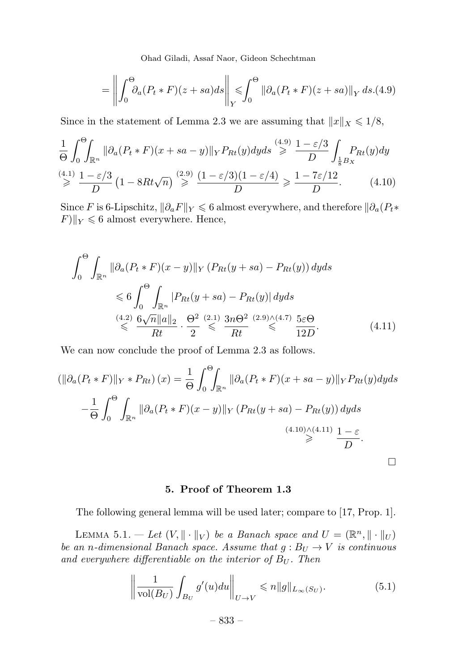Ohad Giladi, Assaf Naor, Gideon Schechtman

$$
= \left\| \int_0^{\Theta} \partial_a (P_t * F)(z + sa) ds \right\|_Y \leq \int_0^{\Theta} \left\| \partial_a (P_t * F)(z + sa) \right\|_Y ds.(4.9)
$$

Since in the statement of Lemma 2.3 we are assuming that  $||x||_X \leq 1/8$ ,

$$
\frac{1}{\Theta} \int_0^{\Theta} \int_{\mathbb{R}^n} \|\partial_a (P_t * F)(x + sa - y)\|_Y P_{Rt}(y) dy ds \stackrel{(4.9)}{\geq} \frac{1 - \varepsilon/3}{D} \int_{\frac{1}{8}B_X} P_{Rt}(y) dy
$$
\n
$$
\stackrel{(4.1)}{\geq} \frac{1 - \varepsilon/3}{D} \left(1 - 8Rt\sqrt{n}\right) \stackrel{(2.9)}{\geq} \frac{(1 - \varepsilon/3)(1 - \varepsilon/4)}{D} \geq \frac{1 - 7\varepsilon/12}{D}.
$$
\n(4.10)

Since F is 6-Lipschitz,  $\|\partial_a F\|_Y \leq 6$  almost everywhere, and therefore  $\|\partial_a (P_t \cdot \mathbf{x})\|_Y$  $F||_Y \leq 6$  almost everywhere. Hence,

$$
\int_0^{\Theta} \int_{\mathbb{R}^n} \|\partial_a (P_t * F)(x - y)\|_Y \left(P_{Rt}(y + sa) - P_{Rt}(y)\right) dy ds
$$
  
\n
$$
\leq 6 \int_0^{\Theta} \int_{\mathbb{R}^n} |P_{Rt}(y + sa) - P_{Rt}(y)| dy ds
$$
  
\n
$$
\stackrel{(4.2)}{\leq} \frac{6\sqrt{n} \|a\|_2}{Rt} \cdot \frac{\Theta^2}{2} \stackrel{(2.1)}{\leq} \frac{3n\Theta^2}{Rt} \stackrel{(2.9)\wedge (4.7)}{\leq} \frac{5\varepsilon\Theta}{12D}.
$$
 (4.11)

We can now conclude the proof of Lemma 2.3 as follows.

$$
\left(\|\partial_a(P_t * F)\|_{Y} * P_{Rt}\right)(x) = \frac{1}{\Theta} \int_0^{\Theta} \int_{\mathbb{R}^n} \|\partial_a(P_t * F)(x + sa - y)\|_{Y} P_{Rt}(y) dy ds
$$

$$
-\frac{1}{\Theta} \int_0^{\Theta} \int_{\mathbb{R}^n} \|\partial_a(P_t * F)(x - y)\|_{Y} (P_{Rt}(y + sa) - P_{Rt}(y)) dy ds
$$

$$
\xrightarrow{(4.10)\wedge(4.11)} \frac{1 - \varepsilon}{D}.
$$

### 5. Proof of Theorem 1.3

The following general lemma will be used later; compare to [17, Prop. 1].

LEMMA 5.1. - Let  $(V, \|\cdot\|_V)$  be a Banach space and  $U = (\mathbb{R}^n, \|\cdot\|_U)$ be an n-dimensional Banach space. Assume that  $g : B_U \to V$  is continuous and everywhere differentiable on the interior of  $B_U$ . Then

$$
\left\| \frac{1}{\text{vol}(B_U)} \int_{B_U} g'(u) du \right\|_{U \to V} \leqslant n \|g\|_{L_\infty(S_U)}.
$$
 (5.1)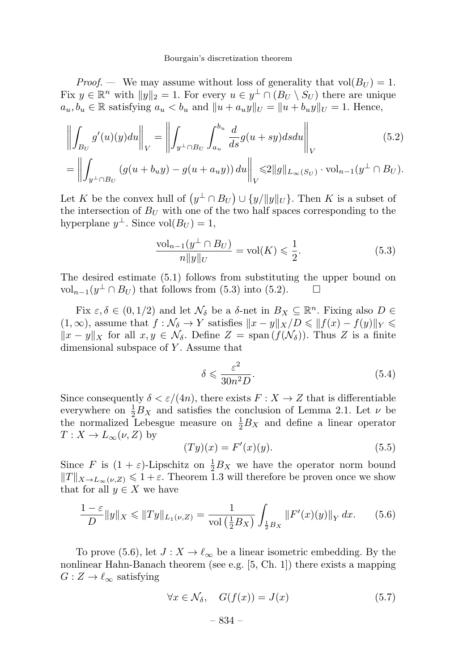*Proof.* — We may assume without loss of generality that  $vol(B_U) = 1$ . Fix  $y \in \mathbb{R}^n$  with  $||y||_2 = 1$ . For every  $u \in y^{\perp} \cap (B_U \setminus S_U)$  there are unique  $a_u, b_u \in \mathbb{R}$  satisfying  $a_u < b_u$  and  $||u + a_u y||_U = ||u + b_u y||_U = 1$ . Hence,

$$
\left\| \int_{B_U} g'(u)(y) du \right\|_V = \left\| \int_{y^\perp \cap B_U} \int_{a_u}^{b_u} \frac{d}{ds} g(u+sy) ds du \right\|_V
$$
\n
$$
= \left\| \int_{y^\perp \cap B_U} (g(u+b_uy) - g(u+a_uy)) du \right\|_V \le 2\|g\|_{L_\infty(S_U)} \cdot \text{vol}_{n-1}(y^\perp \cap B_U).
$$
\n(5.2)

Let K be the convex hull of  $(y^{\perp} \cap B_U) \cup \{y/||y||_U\}$ . Then K is a subset of the intersection of  $B_U$  with one of the two half spaces corresponding to the hyperplane  $y^{\perp}$ . Since vol $(B_U) = 1$ ,

$$
\frac{\text{vol}_{n-1}(y^\perp \cap B_U)}{n||y||_U} = \text{vol}(K) \leqslant \frac{1}{2}.\tag{5.3}
$$

The desired estimate (5.1) follows from substituting the upper bound on vol<sub>n−1</sub>( $y^{\perp} \cap B_U$ ) that follows from (5.3) into (5.2).

Fix  $\varepsilon, \delta \in (0, 1/2)$  and let  $\mathcal{N}_{\delta}$  be a  $\delta$ -net in  $B_X \subseteq \mathbb{R}^n$ . Fixing also  $D \in$  $(1,\infty)$ , assume that  $f : \mathcal{N}_{\delta} \to Y$  satisfies  $||x - y||_X/D \leq ||f(x) - f(y)||_Y \leq$  $||x - y||_X$  for all  $x, y \in \mathcal{N}_\delta$ . Define  $Z = \text{span}(f(\mathcal{N}_\delta))$ . Thus Z is a finite dimensional subspace of Y. Assume that

$$
\delta \leqslant \frac{\varepsilon^2}{30n^2 D}.\tag{5.4}
$$

Since consequently  $\delta < \varepsilon/(4n)$ , there exists  $F: X \to Z$  that is differentiable everywhere on  $\frac{1}{2}B_X$  and satisfies the conclusion of Lemma 2.1. Let  $\nu$  be the normalized Lebesgue measure on  $\frac{1}{2}B_X$  and define a linear operator  $T: X \to L_{\infty}(\nu, Z)$  by

$$
(Ty)(x) = F'(x)(y).
$$
 (5.5)

Since F is  $(1 + \varepsilon)$ -Lipschitz on  $\frac{1}{2}B_X$  we have the operator norm bound  $||T||_{X\to L_{\infty}(\nu,Z)} \leq 1+\varepsilon$ . Theorem 1.3 will therefore be proven once we show that for all  $y \in X$  we have

$$
\frac{1-\varepsilon}{D} \|y\|_X \le \|Ty\|_{L_1(\nu, Z)} = \frac{1}{\text{vol}\left(\frac{1}{2}B_X\right)} \int_{\frac{1}{2}B_X} \|F'(x)(y)\|_Y \, dx. \tag{5.6}
$$

To prove (5.6), let  $J: X \to \ell_{\infty}$  be a linear isometric embedding. By the nonlinear Hahn-Banach theorem (see e.g. [5, Ch. 1]) there exists a mapping  $G: Z \to \ell_{\infty}$  satisfying

$$
\forall x \in \mathcal{N}_{\delta}, \quad G(f(x)) = J(x) \tag{5.7}
$$

$$
-
$$
 834  $-$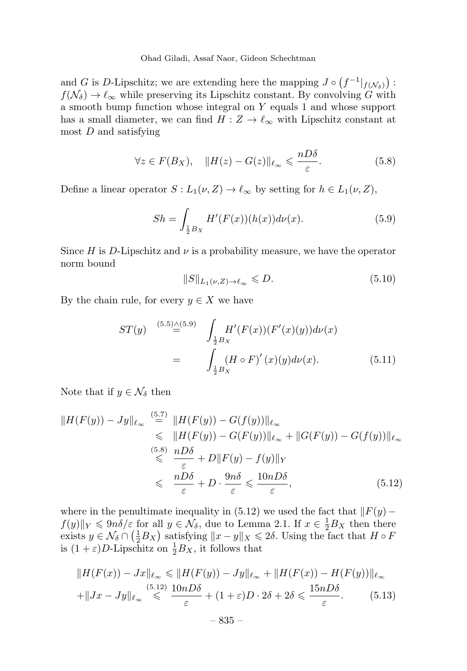Ohad Giladi, Assaf Naor, Gideon Schechtman

and G is D-Lipschitz; we are extending here the mapping  $J \circ (f^{-1}|_{f(\mathcal{N}_\delta)})$ :  $f(\mathcal{N}_{\delta}) \to \ell_{\infty}$  while preserving its Lipschitz constant. By convolving G with a smooth bump function whose integral on Y equals 1 and whose support has a small diameter, we can find  $H: Z \to \ell_{\infty}$  with Lipschitz constant at most  $D$  and satisfying

$$
\forall z \in F(B_X), \quad \|H(z) - G(z)\|_{\ell_\infty} \leqslant \frac{n D \delta}{\varepsilon}.
$$
 (5.8)

Define a linear operator  $S: L_1(\nu, Z) \to \ell_\infty$  by setting for  $h \in L_1(\nu, Z)$ ,

$$
Sh = \int_{\frac{1}{2}B_X} H'(F(x))(h(x))d\nu(x).
$$
 (5.9)

Since H is D-Lipschitz and  $\nu$  is a probability measure, we have the operator norm bound

$$
||S||_{L_1(\nu,Z)\to\ell_\infty} \leq D. \tag{5.10}
$$

By the chain rule, for every  $y \in X$  we have

$$
ST(y) \stackrel{(5.5)\triangle(5.9)}{=} \int_{\frac{1}{2}B_X} H'(F(x))(F'(x)(y))d\nu(x)
$$

$$
= \int_{\frac{1}{2}B_X} (H \circ F)'(x)(y)d\nu(x). \tag{5.11}
$$

Note that if  $y \in \mathcal{N}_{\delta}$  then

$$
||H(F(y)) - Jy||_{\ell_{\infty}} \stackrel{(5.7)}{=} ||H(F(y)) - G(f(y))||_{\ell_{\infty}}\leq ||H(F(y)) - G(F(y))||_{\ell_{\infty}} + ||G(F(y)) - G(f(y))||_{\ell_{\infty}}\stackrel{(5.8)}{\leq} \frac{nD\delta}{\varepsilon} + D||F(y) - f(y)||_{Y}\leq \frac{nD\delta}{\varepsilon} + D \cdot \frac{9n\delta}{\varepsilon} \leq \frac{10nD\delta}{\varepsilon},
$$
\n(5.12)

where in the penultimate inequality in (5.12) we used the fact that  $\|F(y)-\|$  $f(y)\|_Y \leq 9n\delta/\varepsilon$  for all  $y \in \mathcal{N}_\delta$ , due to Lemma 2.1. If  $x \in \frac{1}{2}B_X$  then there exists  $y \in \mathcal{N}_\delta \cap (\frac{1}{2}B_X)$  satisfying  $||x - y||_X \leq 2\delta$ . Using the fact that  $H \circ F$ is  $(1+\varepsilon)D$ -Lipschitz on  $\frac{1}{2}B_X$ , it follows that

$$
||H(F(x)) - Jx||_{\ell_{\infty}} \le ||H(F(y)) - Jy||_{\ell_{\infty}} + ||H(F(x)) - H(F(y))||_{\ell_{\infty}}
$$
  
+
$$
||Jx - Jy||_{\ell_{\infty}} \le \frac{(5.12)}{\varepsilon} \frac{10nD\delta}{\varepsilon} + (1 + \varepsilon)D \cdot 2\delta + 2\delta \le \frac{15nD\delta}{\varepsilon}.
$$
 (5.13)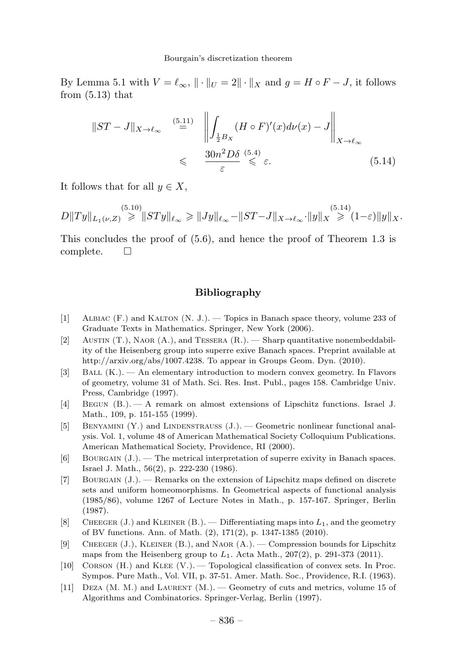By Lemma 5.1 with  $V = \ell_{\infty}$ ,  $\|\cdot\|_{U} = 2\|\cdot\|_{X}$  and  $g = H \circ F - J$ , it follows from  $(5.13)$  that

$$
||ST - J||_{X \to \ell_{\infty}} \stackrel{(5.11)}{=} \left\| \int_{\frac{1}{2}B_X} (H \circ F)'(x) d\nu(x) - J \right\|_{X \to \ell_{\infty}}
$$
  
\$\leq \frac{30n^2 D \delta}{\varepsilon} \stackrel{(5.4)}{\leq \varepsilon} \varepsilon. \qquad (5.14)\$

It follows that for all  $y \in X$ .

 $D||Ty||_{L_1(\nu,Z)} \geqslant ||STy||_{\ell_{\infty}} \geqslant ||Jy||_{\ell_{\infty}} - ||ST-J||_{X \to \ell_{\infty}} \cdot ||y||_X \geqslant (1-\varepsilon) ||y||_X.$ 

This concludes the proof of (5.6), and hence the proof of Theorem 1.3 is complete.  $\square$ 

#### Bibliography

- [1] Albiac (F.) and Kalton (N. J.). —Topics in Banach space theory, volume 233 of Graduate Texts in Mathematics. Springer, New York (2006).
- [2] Austin (T.), Naor (A.), and Tessera (R.). —Sharp quantitative nonembeddability of the Heisenberg group into superre exive Banach spaces. Preprint available at http://arxiv.org/abs/1007.4238. To appear in Groups Geom. Dyn. (2010).
- [3] Ball (K.). —An elementary introduction to modern convex geometry. In Flavors of geometry, volume 31 of Math. Sci. Res. Inst. Publ., pages 158. Cambridge Univ. Press, Cambridge (1997).
- [4] Begun (B.). —A remark on almost extensions of Lipschitz functions. Israel J. Math., 109, p. 151-155 (1999).
- [5] BENYAMINI  $(Y)$  and LINDENSTRAUSS  $(J.)$  Geometric nonlinear functional analysis. Vol. 1, volume 48 of American Mathematical Society Colloquium Publications. American Mathematical Society, Providence, RI (2000).
- [6] Bourgain (J.). —The metrical interpretation of superre exivity in Banach spaces. Israel J. Math., 56(2), p. 222-230 (1986).
- [7] BOURGAIN  $(J.)$ . Remarks on the extension of Lipschitz maps defined on discrete sets and uniform homeomorphisms. In Geometrical aspects of functional analysis (1985/86), volume 1267 of Lecture Notes in Math., p. 157-167. Springer, Berlin (1987).
- [8] CHEEGER (J.) and KLEINER (B.). Differentiating maps into  $L_1$ , and the geometry of BV functions. Ann. of Math. (2), 171(2), p. 1347-1385 (2010).
- [9] Cheeger (J.), Kleiner (B.), and Naor (A.). —Compression bounds for Lipschitz maps from the Heisenberg group to  $L_1$ . Acta Math., 207(2), p. 291-373 (2011).
- [10] Corson (H.) and Klee (V.). —Topological classification of convex sets. In Proc. Sympos. Pure Math., Vol. VII, p. 37-51. Amer. Math. Soc., Providence, R.I. (1963).
- [11] Deza (M. M.) and Laurent (M.). —Geometry of cuts and metrics, volume 15 of Algorithms and Combinatorics. Springer-Verlag, Berlin (1997).